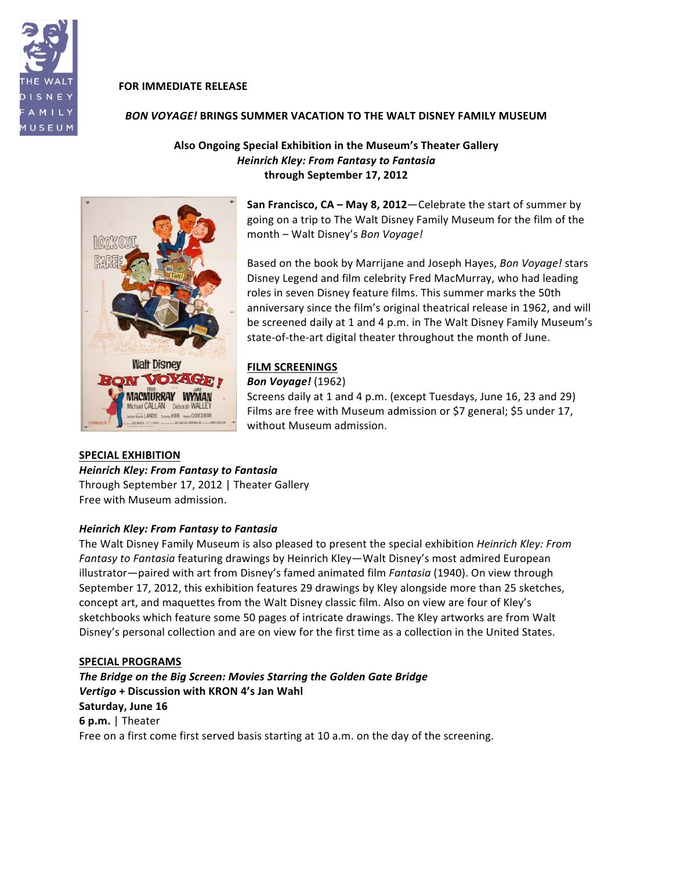

## **FOR IMMEDIATE RELEASE**

## *BON\$VOYAGE!* **BRINGS\$SUMMER\$VACATION TO\$THE\$WALT\$DISNEY\$FAMILY\$MUSEUM**

## **Also Ongoing Special Exhibition in the Museum's Theater Gallery Heinrich Kley: From Fantasy to Fantasia through September\$17,\$2012**



**San Francisco, CA – May 8, 2012–**Celebrate the start of summer by going on a trip to The Walt Disney Family Museum for the film of the month – Walt Disney's *Bon Voyage!* 

Based on the book by Marrijane and Joseph Hayes, *Bon Voyage!* stars Disney Legend and film celebrity Fred MacMurray, who had leading roles in seven Disney feature films. This summer marks the 50th anniversary since the film's original theatrical release in 1962, and will be screened daily at 1 and 4 p.m. in The Walt Disney Family Museum's state-of-the-art digital theater throughout the month of June.

## **FILM SCREENINGS**

#### *Bon\$Voyage!* (1962)

Screens daily at 1 and 4 p.m. (except Tuesdays, June 16, 23 and 29) Films are free with Museum admission or \$7 general; \$5 under 17, without Museum admission.

## **SPECIAL EXHIBITION**

## **Heinrich Kley: From Fantasy to Fantasia**

Through September 17, 2012 | Theater Gallery Free with Museum admission.

## **Heinrich Kley: From Fantasy to Fantasia**

The Walt Disney Family Museum is also pleased to present the special exhibition *Heinrich Kley: From Fantasy to Fantasia* featuring drawings by Heinrich Kley—Walt Disney's most admired European illustrator—paired with art from Disney's famed animated film *Fantasia* (1940). On view through September 17, 2012, this exhibition features 29 drawings by Kley alongside more than 25 sketches, concept art, and maquettes from the Walt Disney classic film. Also on view are four of Kley's sketchbooks which feature some 50 pages of intricate drawings. The Kley artworks are from Walt Disney's personal collection and are on view for the first time as a collection in the United States.

## **SPECIAL PROGRAMS**

**The Bridge on the Big Screen: Movies Starring the Golden Gate Bridge** *Vertigo* **+ Discussion with KRON 4's Jan Wahl Saturday, June\$16 6 p.m.** | Theater Free on a first come first served basis starting at 10 a.m. on the day of the screening.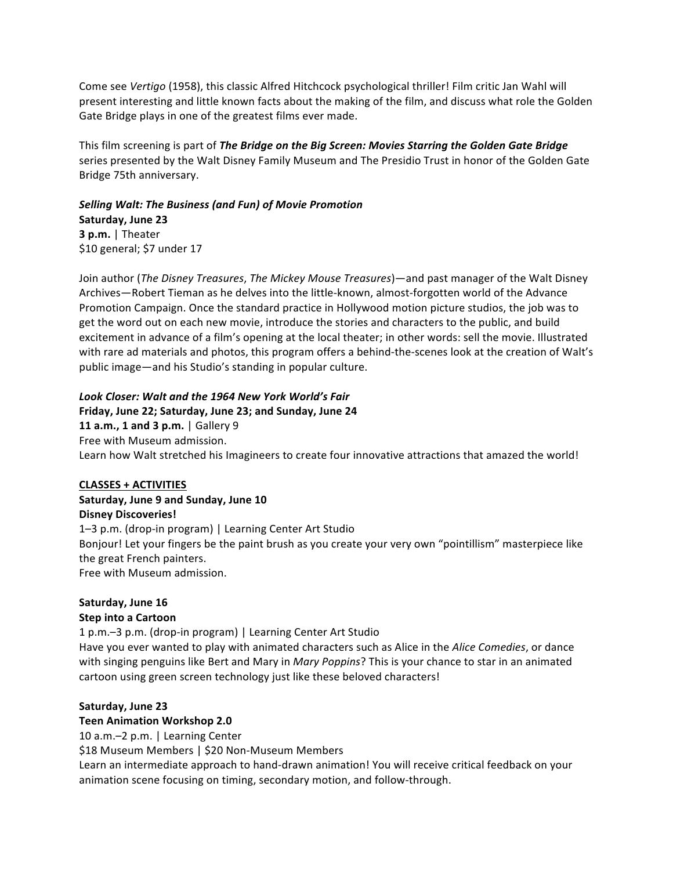Come see Vertigo (1958), this classic Alfred Hitchcock psychological thriller! Film critic Jan Wahl will present interesting and little known facts about the making of the film, and discuss what role the Golden Gate Bridge plays in one of the greatest films ever made.

This film screening is part of The Bridge on the Big Screen: Movies Starring the Golden Gate Bridge series presented by the Walt Disney Family Museum and The Presidio Trust in honor of the Golden Gate Bridge 75th anniversary.

# Selling Walt: The Business (and Fun) of Movie Promotion Saturday, June 23 3 p.m.  $|$  Theater \$10 general; \$7 under 17

Join author (The Disney Treasures, The Mickey Mouse Treasures)—and past manager of the Walt Disney Archives-Robert Tieman as he delves into the little-known, almost-forgotten world of the Advance Promotion Campaign. Once the standard practice in Hollywood motion picture studios, the job was to get the word out on each new movie, introduce the stories and characters to the public, and build excitement in advance of a film's opening at the local theater; in other words: sell the movie. Illustrated with rare ad materials and photos, this program offers a behind-the-scenes look at the creation of Walt's public image-and his Studio's standing in popular culture.

## Look Closer: Walt and the 1964 New York World's Fair

## Friday, June 22; Saturday, June 23; and Sunday, June 24

11 a.m., 1 and 3 p.m. | Gallery 9 Free with Museum admission. Learn how Walt stretched his Imagineers to create four innovative attractions that amazed the world!

## **CLASSES + ACTIVITIES**

# Saturday, June 9 and Sunday, June 10 **Disney Discoveries!**

1-3 p.m. (drop-in program) | Learning Center Art Studio Bonjour! Let your fingers be the paint brush as you create your very own "pointillism" masterpiece like the great French painters. Free with Museum admission.

# Saturday, June 16

## **Step into a Cartoon**

1 p.m. - 3 p.m. (drop-in program) | Learning Center Art Studio Have you ever wanted to play with animated characters such as Alice in the Alice Comedies, or dance with singing penguins like Bert and Mary in Mary Poppins? This is your chance to star in an animated cartoon using green screen technology just like these beloved characters!

# Saturday, June 23

## **Teen Animation Workshop 2.0**

10 a.m. - 2 p.m. | Learning Center

\$18 Museum Members | \$20 Non-Museum Members

Learn an intermediate approach to hand-drawn animation! You will receive critical feedback on your animation scene focusing on timing, secondary motion, and follow-through.